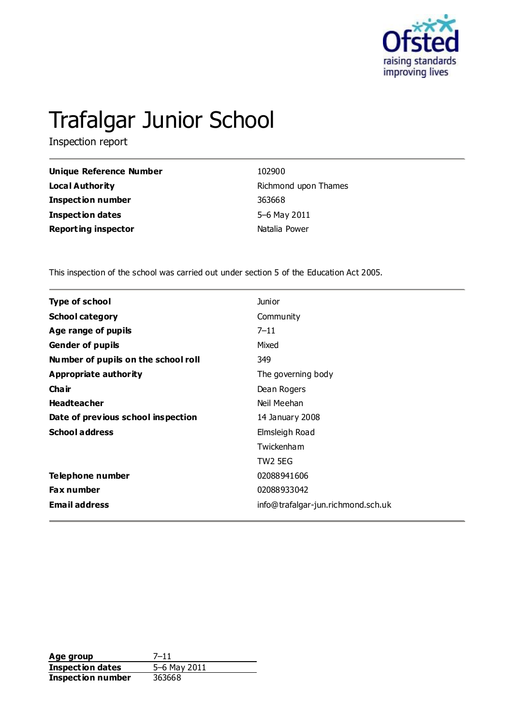

# Trafalgar Junior School

Inspection report

| Unique Reference Number    | 102900               |
|----------------------------|----------------------|
| <b>Local Authority</b>     | Richmond upon Thames |
| <b>Inspection number</b>   | 363668               |
| <b>Inspection dates</b>    | 5–6 May 2011         |
| <b>Reporting inspector</b> | Natalia Power        |

This inspection of the school was carried out under section 5 of the Education Act 2005.

| <b>Type of school</b>               | <b>Junior</b>                      |
|-------------------------------------|------------------------------------|
| <b>School category</b>              | Community                          |
| Age range of pupils                 | $7 - 11$                           |
| <b>Gender of pupils</b>             | Mixed                              |
| Number of pupils on the school roll | 349                                |
| Appropriate authority               | The governing body                 |
| Cha ir                              | Dean Rogers                        |
| <b>Headteacher</b>                  | Neil Meehan                        |
| Date of previous school inspection  | 14 January 2008                    |
| <b>School address</b>               | Elmsleigh Road                     |
|                                     | Twickenham                         |
|                                     | TW2 5EG                            |
| Telephone number                    | 02088941606                        |
| <b>Fax number</b>                   | 02088933042                        |
| <b>Email address</b>                | info@trafalgar-jun.richmond.sch.uk |

**Age group** 7-11<br> **Inspection dates** 5-6 May 2011 **Inspection dates Inspection number** 363668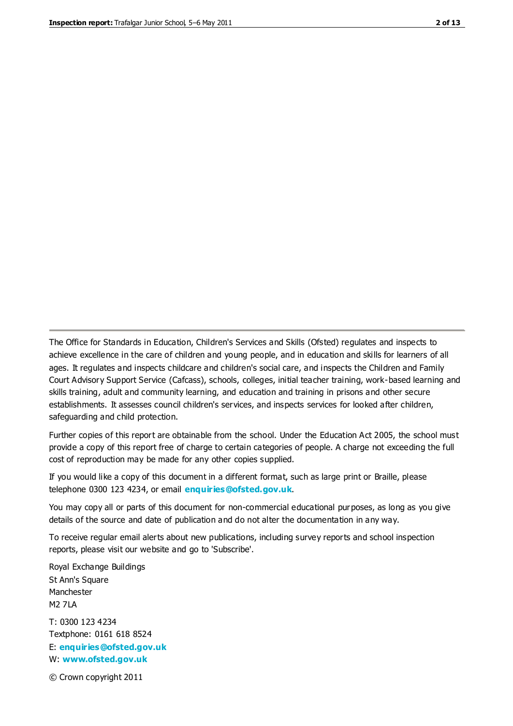The Office for Standards in Education, Children's Services and Skills (Ofsted) regulates and inspects to achieve excellence in the care of children and young people, and in education and skills for learners of all ages. It regulates and inspects childcare and children's social care, and inspects the Children and Family Court Advisory Support Service (Cafcass), schools, colleges, initial teacher training, work-based learning and skills training, adult and community learning, and education and training in prisons and other secure establishments. It assesses council children's services, and inspects services for looked after children, safeguarding and child protection.

Further copies of this report are obtainable from the school. Under the Education Act 2005, the school must provide a copy of this report free of charge to certain categories of people. A charge not exceeding the full cost of reproduction may be made for any other copies supplied.

If you would like a copy of this document in a different format, such as large print or Braille, please telephone 0300 123 4234, or email **[enquiries@ofsted.gov.uk](mailto:enquiries@ofsted.gov.uk)**.

You may copy all or parts of this document for non-commercial educational purposes, as long as you give details of the source and date of publication and do not alter the documentation in any way.

To receive regular email alerts about new publications, including survey reports and school inspection reports, please visit our website and go to 'Subscribe'.

Royal Exchange Buildings St Ann's Square Manchester M2 7LA T: 0300 123 4234 Textphone: 0161 618 8524 E: **[enquiries@ofsted.gov.uk](mailto:enquiries@ofsted.gov.uk)**

W: **[www.ofsted.gov.uk](http://www.ofsted.gov.uk/)**

© Crown copyright 2011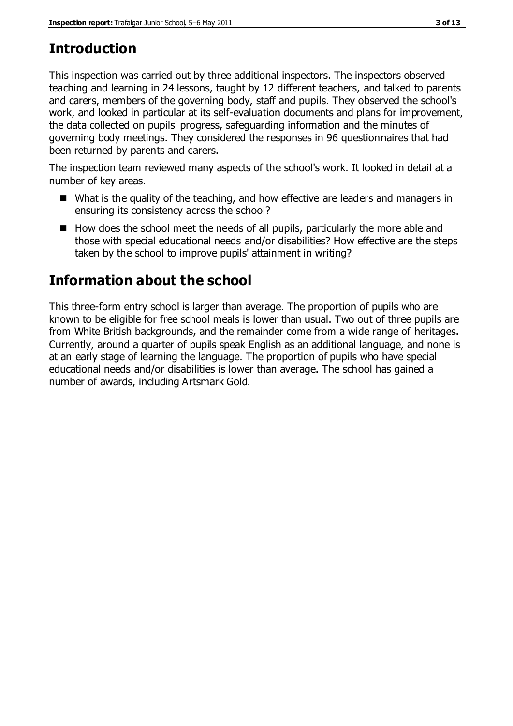# **Introduction**

This inspection was carried out by three additional inspectors. The inspectors observed teaching and learning in 24 lessons, taught by 12 different teachers, and talked to parents and carers, members of the governing body, staff and pupils. They observed the school's work, and looked in particular at its self-evaluation documents and plans for improvement, the data collected on pupils' progress, safeguarding information and the minutes of governing body meetings. They considered the responses in 96 questionnaires that had been returned by parents and carers.

The inspection team reviewed many aspects of the school's work. It looked in detail at a number of key areas.

- What is the quality of the teaching, and how effective are leaders and managers in ensuring its consistency across the school?
- $\blacksquare$  How does the school meet the needs of all pupils, particularly the more able and those with special educational needs and/or disabilities? How effective are the steps taken by the school to improve pupils' attainment in writing?

## **Information about the school**

This three-form entry school is larger than average. The proportion of pupils who are known to be eligible for free school meals is lower than usual. Two out of three pupils are from White British backgrounds, and the remainder come from a wide range of heritages. Currently, around a quarter of pupils speak English as an additional language, and none is at an early stage of learning the language. The proportion of pupils who have special educational needs and/or disabilities is lower than average. The school has gained a number of awards, including Artsmark Gold.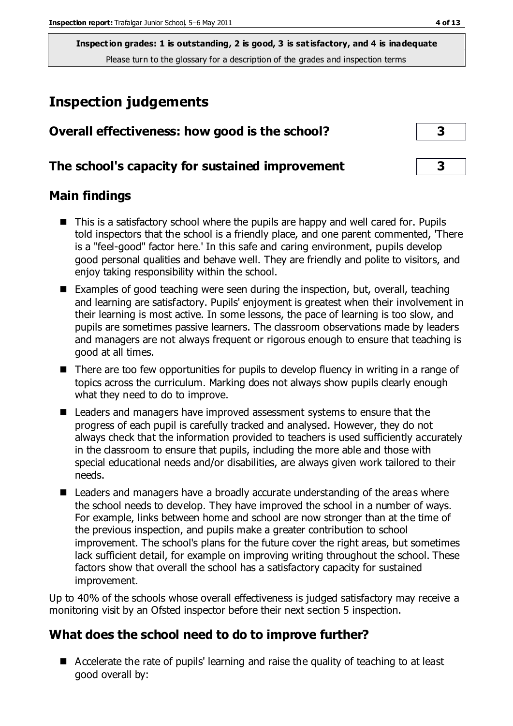## **Inspection judgements**

| Overall effectiveness: how good is the school?  |  |
|-------------------------------------------------|--|
| The school's capacity for sustained improvement |  |

#### **Main findings**

- This is a satisfactory school where the pupils are happy and well cared for. Pupils told inspectors that the school is a friendly place, and one parent commented, 'There is a "feel-good" factor here.' In this safe and caring environment, pupils develop good personal qualities and behave well. They are friendly and polite to visitors, and enjoy taking responsibility within the school.
- Examples of good teaching were seen during the inspection, but, overall, teaching and learning are satisfactory. Pupils' enjoyment is greatest when their involvement in their learning is most active. In some lessons, the pace of learning is too slow, and pupils are sometimes passive learners. The classroom observations made by leaders and managers are not always frequent or rigorous enough to ensure that teaching is good at all times.
- There are too few opportunities for pupils to develop fluency in writing in a range of topics across the curriculum. Marking does not always show pupils clearly enough what they need to do to improve.
- Leaders and managers have improved assessment systems to ensure that the progress of each pupil is carefully tracked and analysed. However, they do not always check that the information provided to teachers is used sufficiently accurately in the classroom to ensure that pupils, including the more able and those with special educational needs and/or disabilities, are always given work tailored to their needs.
- Leaders and managers have a broadly accurate understanding of the areas where the school needs to develop. They have improved the school in a number of ways. For example, links between home and school are now stronger than at the time of the previous inspection, and pupils make a greater contribution to school improvement. The school's plans for the future cover the right areas, but sometimes lack sufficient detail, for example on improving writing throughout the school. These factors show that overall the school has a satisfactory capacity for sustained improvement.

Up to 40% of the schools whose overall effectiveness is judged satisfactory may receive a monitoring visit by an Ofsted inspector before their next section 5 inspection.

## **What does the school need to do to improve further?**

■ Accelerate the rate of pupils' learning and raise the quality of teaching to at least good overall by: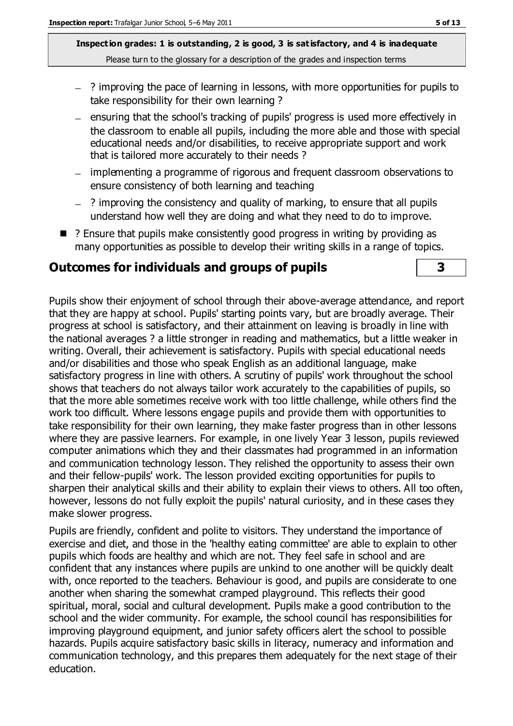- ? improving the pace of learning in lessons, with more opportunities for pupils to take responsibility for their own learning ?
- ensuring that the school's tracking of pupils' progress is used more effectively in the classroom to enable all pupils, including the more able and those with special educational needs and/or disabilities, to receive appropriate support and work that is tailored more accurately to their needs ?
- implementing a programme of rigorous and frequent classroom observations to ensure consistency of both learning and teaching
- ? improving the consistency and quality of marking, to ensure that all pupils understand how well they are doing and what they need to do to improve.
- ? Ensure that pupils make consistently good progress in writing by providing as many opportunities as possible to develop their writing skills in a range of topics.

#### **Outcomes for individuals and groups of pupils 3**

Pupils show their enjoyment of school through their above-average attendance, and report that they are happy at school. Pupils' starting points vary, but are broadly average. Their progress at school is satisfactory, and their attainment on leaving is broadly in line with the national averages ? a little stronger in reading and mathematics, but a little weaker in writing. Overall, their achievement is satisfactory. Pupils with special educational needs and/or disabilities and those who speak English as an additional language, make satisfactory progress in line with others. A scrutiny of pupils' work throughout the school shows that teachers do not always tailor work accurately to the capabilities of pupils, so that the more able sometimes receive work with too little challenge, while others find the work too difficult. Where lessons engage pupils and provide them with opportunities to take responsibility for their own learning, they make faster progress than in other lessons where they are passive learners. For example, in one lively Year 3 lesson, pupils reviewed computer animations which they and their classmates had programmed in an information and communication technology lesson. They relished the opportunity to assess their own and their fellow-pupils' work. The lesson provided exciting opportunities for pupils to sharpen their analytical skills and their ability to explain their views to others. All too often, however, lessons do not fully exploit the pupils' natural curiosity, and in these cases they make slower progress.

Pupils are friendly, confident and polite to visitors. They understand the importance of exercise and diet, and those in the 'healthy eating committee' are able to explain to other pupils which foods are healthy and which are not. They feel safe in school and are confident that any instances where pupils are unkind to one another will be quickly dealt with, once reported to the teachers. Behaviour is good, and pupils are considerate to one another when sharing the somewhat cramped playground. This reflects their good spiritual, moral, social and cultural development. Pupils make a good contribution to the school and the wider community. For example, the school council has responsibilities for improving playground equipment, and junior safety officers alert the school to possible hazards. Pupils acquire satisfactory basic skills in literacy, numeracy and information and communication technology, and this prepares them adequately for the next stage of their education.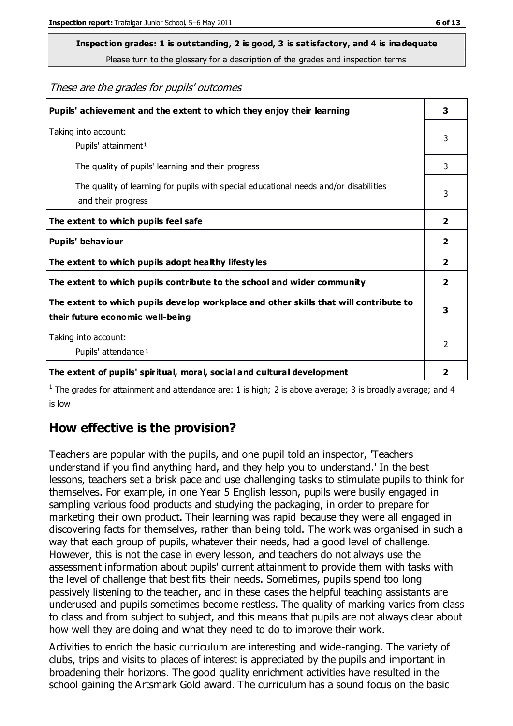# **Inspection grades: 1 is outstanding, 2 is good, 3 is satisfactory, and 4 is inadequate**

Please turn to the glossary for a description of the grades and inspection terms

#### These are the grades for pupils' outcomes

| Pupils' achievement and the extent to which they enjoy their learning                                                     |                |
|---------------------------------------------------------------------------------------------------------------------------|----------------|
| Taking into account:<br>Pupils' attainment <sup>1</sup>                                                                   | 3              |
| The quality of pupils' learning and their progress                                                                        | 3              |
| The quality of learning for pupils with special educational needs and/or disabilities<br>and their progress               |                |
| The extent to which pupils feel safe                                                                                      | $\mathbf{2}$   |
| Pupils' behaviour                                                                                                         | 2              |
| The extent to which pupils adopt healthy lifestyles                                                                       | 2              |
| The extent to which pupils contribute to the school and wider community                                                   | $\overline{2}$ |
| The extent to which pupils develop workplace and other skills that will contribute to<br>their future economic well-being |                |
| Taking into account:<br>Pupils' attendance <sup>1</sup>                                                                   |                |
| The extent of pupils' spiritual, moral, social and cultural development                                                   | $\overline{2}$ |

<sup>1</sup> The grades for attainment and attendance are: 1 is high; 2 is above average; 3 is broadly average; and 4 is low

#### **How effective is the provision?**

Teachers are popular with the pupils, and one pupil told an inspector, 'Teachers understand if you find anything hard, and they help you to understand.' In the best lessons, teachers set a brisk pace and use challenging tasks to stimulate pupils to think for themselves. For example, in one Year 5 English lesson, pupils were busily engaged in sampling various food products and studying the packaging, in order to prepare for marketing their own product. Their learning was rapid because they were all engaged in discovering facts for themselves, rather than being told. The work was organised in such a way that each group of pupils, whatever their needs, had a good level of challenge. However, this is not the case in every lesson, and teachers do not always use the assessment information about pupils' current attainment to provide them with tasks with the level of challenge that best fits their needs. Sometimes, pupils spend too long passively listening to the teacher, and in these cases the helpful teaching assistants are underused and pupils sometimes become restless. The quality of marking varies from class to class and from subject to subject, and this means that pupils are not always clear about how well they are doing and what they need to do to improve their work.

Activities to enrich the basic curriculum are interesting and wide-ranging. The variety of clubs, trips and visits to places of interest is appreciated by the pupils and important in broadening their horizons. The good quality enrichment activities have resulted in the school gaining the Artsmark Gold award. The curriculum has a sound focus on the basic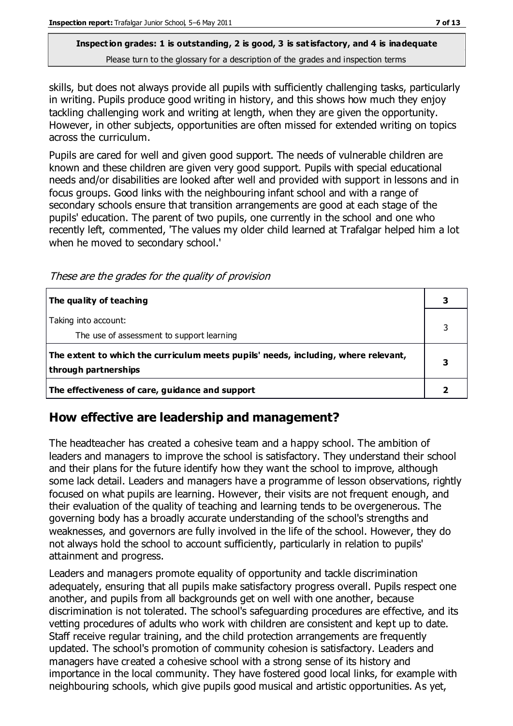skills, but does not always provide all pupils with sufficiently challenging tasks, particularly in writing. Pupils produce good writing in history, and this shows how much they enjoy tackling challenging work and writing at length, when they are given the opportunity. However, in other subjects, opportunities are often missed for extended writing on topics across the curriculum.

Pupils are cared for well and given good support. The needs of vulnerable children are known and these children are given very good support. Pupils with special educational needs and/or disabilities are looked after well and provided with support in lessons and in focus groups. Good links with the neighbouring infant school and with a range of secondary schools ensure that transition arrangements are good at each stage of the pupils' education. The parent of two pupils, one currently in the school and one who recently left, commented, 'The values my older child learned at Trafalgar helped him a lot when he moved to secondary school.'

These are the grades for the quality of provision

| The quality of teaching                                                                                    |  |
|------------------------------------------------------------------------------------------------------------|--|
| Taking into account:<br>The use of assessment to support learning                                          |  |
| The extent to which the curriculum meets pupils' needs, including, where relevant,<br>through partnerships |  |
| The effectiveness of care, guidance and support                                                            |  |

## **How effective are leadership and management?**

The headteacher has created a cohesive team and a happy school. The ambition of leaders and managers to improve the school is satisfactory. They understand their school and their plans for the future identify how they want the school to improve, although some lack detail. Leaders and managers have a programme of lesson observations, rightly focused on what pupils are learning. However, their visits are not frequent enough, and their evaluation of the quality of teaching and learning tends to be overgenerous. The governing body has a broadly accurate understanding of the school's strengths and weaknesses, and governors are fully involved in the life of the school. However, they do not always hold the school to account sufficiently, particularly in relation to pupils' attainment and progress.

Leaders and managers promote equality of opportunity and tackle discrimination adequately, ensuring that all pupils make satisfactory progress overall. Pupils respect one another, and pupils from all backgrounds get on well with one another, because discrimination is not tolerated. The school's safeguarding procedures are effective, and its vetting procedures of adults who work with children are consistent and kept up to date. Staff receive regular training, and the child protection arrangements are frequently updated. The school's promotion of community cohesion is satisfactory. Leaders and managers have created a cohesive school with a strong sense of its history and importance in the local community. They have fostered good local links, for example with neighbouring schools, which give pupils good musical and artistic opportunities. As yet,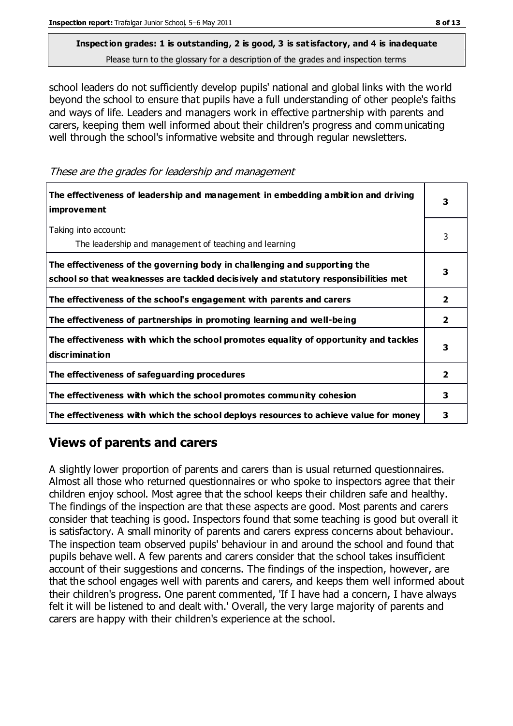school leaders do not sufficiently develop pupils' national and global links with the world beyond the school to ensure that pupils have a full understanding of other people's faiths and ways of life. Leaders and managers work in effective partnership with parents and carers, keeping them well informed about their children's progress and communicating well through the school's informative website and through regular newsletters.

These are the grades for leadership and management

| The effectiveness of leadership and management in embedding ambition and driving<br><b>improvement</b>                                                           |              |
|------------------------------------------------------------------------------------------------------------------------------------------------------------------|--------------|
| Taking into account:<br>The leadership and management of teaching and learning                                                                                   | 3            |
| The effectiveness of the governing body in challenging and supporting the<br>school so that weaknesses are tackled decisively and statutory responsibilities met | 3            |
| The effectiveness of the school's engagement with parents and carers                                                                                             | $\mathbf{2}$ |
| The effectiveness of partnerships in promoting learning and well-being                                                                                           | 2            |
| The effectiveness with which the school promotes equality of opportunity and tackles<br><b>discrimination</b>                                                    | 3            |
| The effectiveness of safeguarding procedures                                                                                                                     | $\mathbf{2}$ |
| The effectiveness with which the school promotes community cohesion                                                                                              | 3            |
| The effectiveness with which the school deploys resources to achieve value for money                                                                             | 3            |

## **Views of parents and carers**

A slightly lower proportion of parents and carers than is usual returned questionnaires. Almost all those who returned questionnaires or who spoke to inspectors agree that their children enjoy school. Most agree that the school keeps their children safe and healthy. The findings of the inspection are that these aspects are good. Most parents and carers consider that teaching is good. Inspectors found that some teaching is good but overall it is satisfactory. A small minority of parents and carers express concerns about behaviour. The inspection team observed pupils' behaviour in and around the school and found that pupils behave well. A few parents and carers consider that the school takes insufficient account of their suggestions and concerns. The findings of the inspection, however, are that the school engages well with parents and carers, and keeps them well informed about their children's progress. One parent commented, 'If I have had a concern, I have always felt it will be listened to and dealt with.' Overall, the very large majority of parents and carers are happy with their children's experience at the school.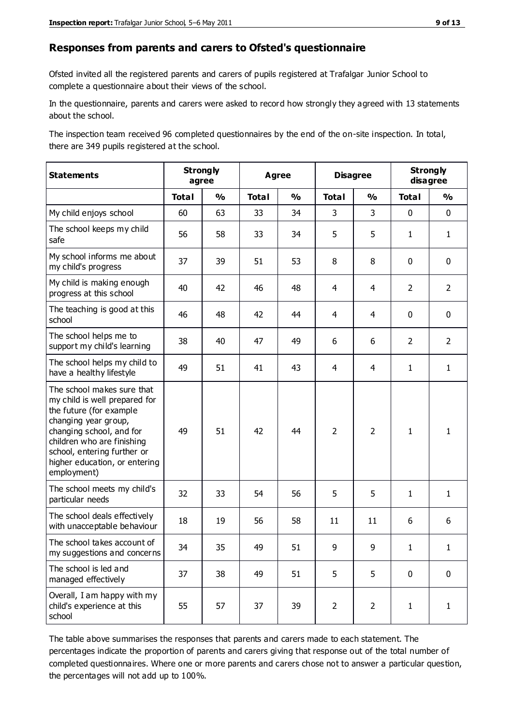#### **Responses from parents and carers to Ofsted's questionnaire**

Ofsted invited all the registered parents and carers of pupils registered at Trafalgar Junior School to complete a questionnaire about their views of the school.

In the questionnaire, parents and carers were asked to record how strongly they agreed with 13 statements about the school.

The inspection team received 96 completed questionnaires by the end of the on-site inspection. In total, there are 349 pupils registered at the school.

| <b>Statements</b>                                                                                                                                                                                                                                       | <b>Strongly</b><br>agree |               | <b>Agree</b> |               | <b>Disagree</b> |                | <b>Strongly</b><br>disagree |                |
|---------------------------------------------------------------------------------------------------------------------------------------------------------------------------------------------------------------------------------------------------------|--------------------------|---------------|--------------|---------------|-----------------|----------------|-----------------------------|----------------|
|                                                                                                                                                                                                                                                         | <b>Total</b>             | $\frac{1}{2}$ | <b>Total</b> | $\frac{1}{2}$ | <b>Total</b>    | $\frac{1}{2}$  | <b>Total</b>                | $\frac{1}{2}$  |
| My child enjoys school                                                                                                                                                                                                                                  | 60                       | 63            | 33           | 34            | 3               | 3              | $\mathbf 0$                 | $\mathbf 0$    |
| The school keeps my child<br>safe                                                                                                                                                                                                                       | 56                       | 58            | 33           | 34            | 5               | 5              | $\mathbf{1}$                | $\mathbf{1}$   |
| My school informs me about<br>my child's progress                                                                                                                                                                                                       | 37                       | 39            | 51           | 53            | 8               | 8              | $\mathbf 0$                 | $\mathbf 0$    |
| My child is making enough<br>progress at this school                                                                                                                                                                                                    | 40                       | 42            | 46           | 48            | 4               | $\overline{4}$ | $\overline{2}$              | $\overline{2}$ |
| The teaching is good at this<br>school                                                                                                                                                                                                                  | 46                       | 48            | 42           | 44            | 4               | 4              | $\mathbf 0$                 | $\mathbf 0$    |
| The school helps me to<br>support my child's learning                                                                                                                                                                                                   | 38                       | 40            | 47           | 49            | 6               | 6              | 2                           | $\overline{2}$ |
| The school helps my child to<br>have a healthy lifestyle                                                                                                                                                                                                | 49                       | 51            | 41           | 43            | 4               | 4              | $\mathbf{1}$                | $\mathbf{1}$   |
| The school makes sure that<br>my child is well prepared for<br>the future (for example<br>changing year group,<br>changing school, and for<br>children who are finishing<br>school, entering further or<br>higher education, or entering<br>employment) | 49                       | 51            | 42           | 44            | $\overline{2}$  | $\overline{2}$ | $\mathbf{1}$                | 1              |
| The school meets my child's<br>particular needs                                                                                                                                                                                                         | 32                       | 33            | 54           | 56            | 5               | 5              | $\mathbf{1}$                | $\mathbf{1}$   |
| The school deals effectively<br>with unacceptable behaviour                                                                                                                                                                                             | 18                       | 19            | 56           | 58            | 11              | 11             | 6                           | 6              |
| The school takes account of<br>my suggestions and concerns                                                                                                                                                                                              | 34                       | 35            | 49           | 51            | 9               | 9              | 1                           | 1              |
| The school is led and<br>managed effectively                                                                                                                                                                                                            | 37                       | 38            | 49           | 51            | 5               | 5              | $\mathbf 0$                 | $\mathbf 0$    |
| Overall, I am happy with my<br>child's experience at this<br>school                                                                                                                                                                                     | 55                       | 57            | 37           | 39            | $\overline{2}$  | $\overline{2}$ | $\mathbf{1}$                | $\mathbf{1}$   |

The table above summarises the responses that parents and carers made to each statement. The percentages indicate the proportion of parents and carers giving that response out of the total number of completed questionnaires. Where one or more parents and carers chose not to answer a particular question, the percentages will not add up to 100%.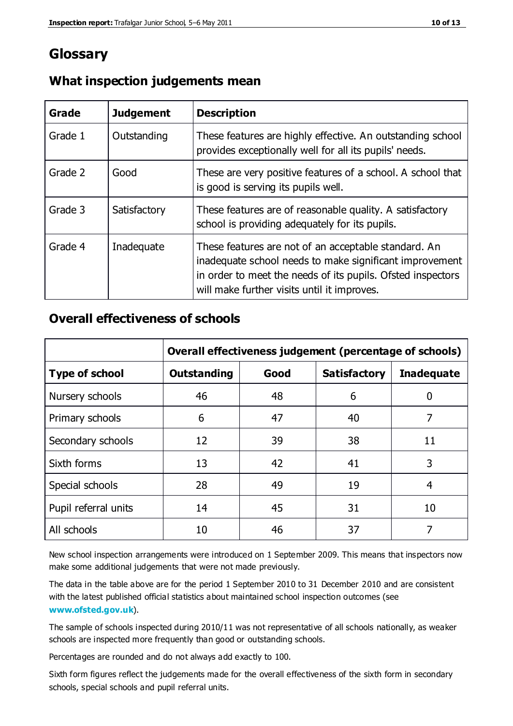## **Glossary**

| Grade   | <b>Judgement</b> | <b>Description</b>                                                                                                                                                                                                            |
|---------|------------------|-------------------------------------------------------------------------------------------------------------------------------------------------------------------------------------------------------------------------------|
| Grade 1 | Outstanding      | These features are highly effective. An outstanding school<br>provides exceptionally well for all its pupils' needs.                                                                                                          |
| Grade 2 | Good             | These are very positive features of a school. A school that<br>is good is serving its pupils well.                                                                                                                            |
| Grade 3 | Satisfactory     | These features are of reasonable quality. A satisfactory<br>school is providing adequately for its pupils.                                                                                                                    |
| Grade 4 | Inadequate       | These features are not of an acceptable standard. An<br>inadequate school needs to make significant improvement<br>in order to meet the needs of its pupils. Ofsted inspectors<br>will make further visits until it improves. |

#### **What inspection judgements mean**

#### **Overall effectiveness of schools**

|                       | Overall effectiveness judgement (percentage of schools) |      |                     |                   |
|-----------------------|---------------------------------------------------------|------|---------------------|-------------------|
| <b>Type of school</b> | <b>Outstanding</b>                                      | Good | <b>Satisfactory</b> | <b>Inadequate</b> |
| Nursery schools       | 46                                                      | 48   | 6                   |                   |
| Primary schools       | 6                                                       | 47   | 40                  | 7                 |
| Secondary schools     | 12                                                      | 39   | 38                  | 11                |
| Sixth forms           | 13                                                      | 42   | 41                  | 3                 |
| Special schools       | 28                                                      | 49   | 19                  | 4                 |
| Pupil referral units  | 14                                                      | 45   | 31                  | 10                |
| All schools           | 10                                                      | 46   | 37                  |                   |

New school inspection arrangements were introduced on 1 September 2009. This means that inspectors now make some additional judgements that were not made previously.

The data in the table above are for the period 1 September 2010 to 31 December 2010 and are consistent with the latest published official statistics about maintained school inspection outcomes (see **[www.ofsted.gov.uk](http://www.ofsted.gov.uk/)**).

The sample of schools inspected during 2010/11 was not representative of all schools nationally, as weaker schools are inspected more frequently than good or outstanding schools.

Percentages are rounded and do not always add exactly to 100.

Sixth form figures reflect the judgements made for the overall effectiveness of the sixth form in secondary schools, special schools and pupil referral units.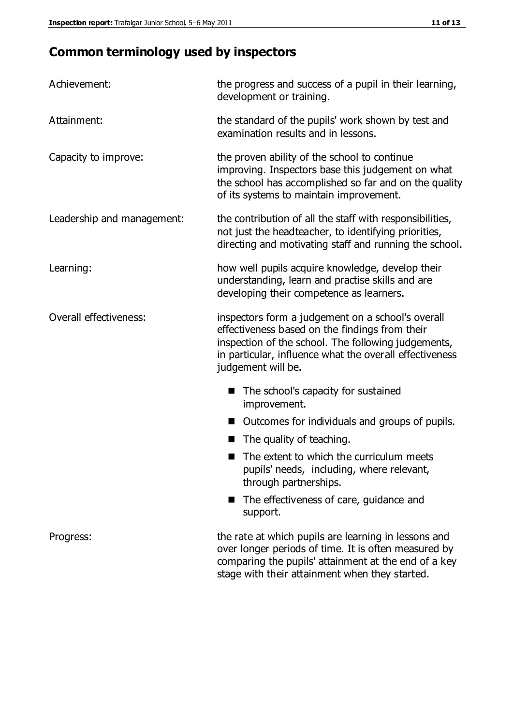## **Common terminology used by inspectors**

| Achievement:               | the progress and success of a pupil in their learning,<br>development or training.                                                                                                                                                          |
|----------------------------|---------------------------------------------------------------------------------------------------------------------------------------------------------------------------------------------------------------------------------------------|
| Attainment:                | the standard of the pupils' work shown by test and<br>examination results and in lessons.                                                                                                                                                   |
| Capacity to improve:       | the proven ability of the school to continue<br>improving. Inspectors base this judgement on what<br>the school has accomplished so far and on the quality<br>of its systems to maintain improvement.                                       |
| Leadership and management: | the contribution of all the staff with responsibilities,<br>not just the headteacher, to identifying priorities,<br>directing and motivating staff and running the school.                                                                  |
| Learning:                  | how well pupils acquire knowledge, develop their<br>understanding, learn and practise skills and are<br>developing their competence as learners.                                                                                            |
| Overall effectiveness:     | inspectors form a judgement on a school's overall<br>effectiveness based on the findings from their<br>inspection of the school. The following judgements,<br>in particular, influence what the overall effectiveness<br>judgement will be. |
|                            | The school's capacity for sustained<br>improvement.                                                                                                                                                                                         |
|                            | Outcomes for individuals and groups of pupils.                                                                                                                                                                                              |
|                            | The quality of teaching.                                                                                                                                                                                                                    |
|                            | The extent to which the curriculum meets<br>pupils' needs, including, where relevant,<br>through partnerships.                                                                                                                              |
|                            | The effectiveness of care, guidance and<br>support.                                                                                                                                                                                         |
| Progress:                  | the rate at which pupils are learning in lessons and<br>over longer periods of time. It is often measured by<br>comparing the pupils' attainment at the end of a key                                                                        |

stage with their attainment when they started.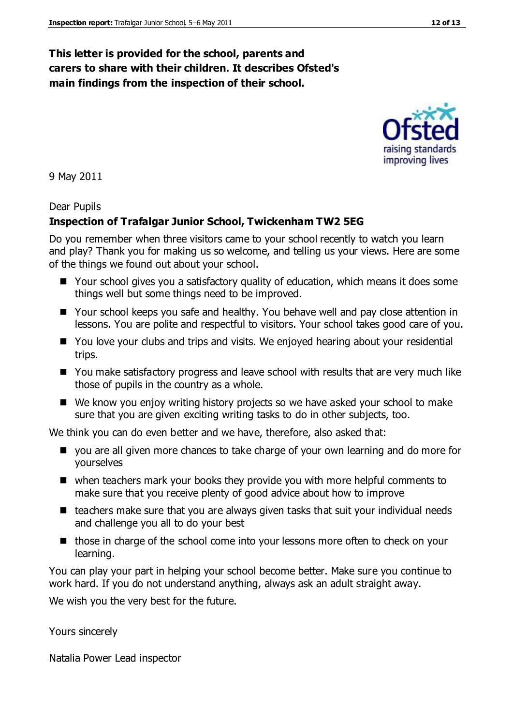#### **This letter is provided for the school, parents and carers to share with their children. It describes Ofsted's main findings from the inspection of their school.**

9 May 2011

Dear Pupils

#### **Inspection of Trafalgar Junior School, Twickenham TW2 5EG**

Do you remember when three visitors came to your school recently to watch you learn and play? Thank you for making us so welcome, and telling us your views. Here are some of the things we found out about your school.

- Your school gives you a satisfactory quality of education, which means it does some things well but some things need to be improved.
- Your school keeps you safe and healthy. You behave well and pay close attention in lessons. You are polite and respectful to visitors. Your school takes good care of you.
- You love your clubs and trips and visits. We enjoyed hearing about your residential trips.
- You make satisfactory progress and leave school with results that are very much like those of pupils in the country as a whole.
- We know you enjoy writing history projects so we have asked your school to make sure that you are given exciting writing tasks to do in other subjects, too.

We think you can do even better and we have, therefore, also asked that:

- you are all given more chances to take charge of your own learning and do more for yourselves
- when teachers mark your books they provide you with more helpful comments to make sure that you receive plenty of good advice about how to improve
- $\blacksquare$  teachers make sure that you are always given tasks that suit your individual needs and challenge you all to do your best
- those in charge of the school come into your lessons more often to check on your learning.

You can play your part in helping your school become better. Make sure you continue to work hard. If you do not understand anything, always ask an adult straight away.

We wish you the very best for the future.

Yours sincerely

Natalia Power Lead inspector